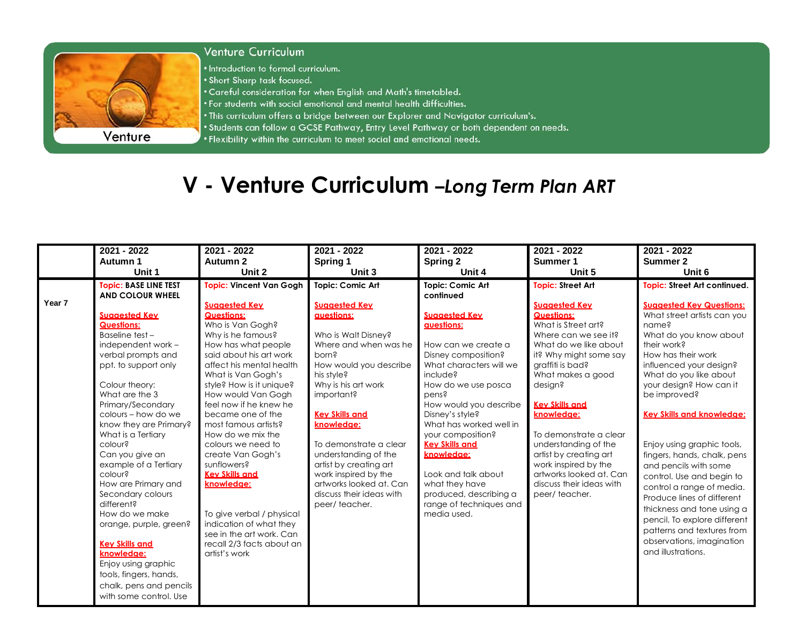

## **Venture Curriculum**

• Introduction to formal curriculum.

. Short Sharp task focused.

- . Careful consideration for when English and Math's timetabled.
- . For students with social emotional and mental health difficulties.
- . This curriculum offers a bridge between our Explorer and Navigator curriculum's.
- . Students can follow a GCSE Pathway, Entry Level Pathway or both dependent on needs.
	- . Flexibility within the curriculum to meet social and emotional needs.

## V - Venture Curriculum -Long Term Plan ART

|        | 2021 - 2022                         | 2021 - 2022                                    | $2021 - 2022$                     | $2021 - 2022$                    | $2021 - 2022$            | $2021 - 2022$                                     |
|--------|-------------------------------------|------------------------------------------------|-----------------------------------|----------------------------------|--------------------------|---------------------------------------------------|
|        | Autumn 1                            | Autumn 2                                       | Spring 1                          | Spring 2                         | Summer 1                 | Summer 2                                          |
|        | Unit 1                              | Unit 2                                         | Unit 3                            | Unit 4                           | Unit 5                   | Unit 6                                            |
|        | <b>Topic: BASE LINE TEST</b>        | <b>Topic: Vincent Van Gogh</b>                 | Topic: Comic Art                  | <b>Topic: Comic Art</b>          | <b>Topic: Street Art</b> | <b>Topic: Street Art continued.</b>               |
|        | <b>AND COLOUR WHEEL</b>             |                                                |                                   | continued                        |                          |                                                   |
| Year 7 |                                     | <b>Suggested Key</b>                           | <b>Suggested Key</b>              |                                  | <b>Suggested Key</b>     | <b>Suggested Key Questions:</b>                   |
|        | <b>Suggested Key</b>                | <b>Questions:</b>                              | auestions:                        | <b>Suagested Kev</b>             | <b>Questions:</b>        | What street artists can you                       |
|        | <b>Questions:</b>                   | Who is Van Gogh?                               |                                   | <b>avestions:</b>                | What is Street art?      | name?                                             |
|        | Baseline test-                      | Why is he famous?                              | Who is Walt Disney?               |                                  | Where can we see it?     | What do you know about                            |
|        | independent work -                  | How has what people                            | Where and when was he             | How can we create a              | What do we like about    | their work?                                       |
|        | verbal prompts and                  | said about his art work                        | porn?                             | Disney composition?              | it? Why might some say   | How has their work                                |
|        | ppt. to support only                | affect his mental health                       | How would you describe            | What characters will we          | graffiti is bad?         | influenced your design?                           |
|        | Colour theory:                      | What is Van Gogh's<br>style? How is it unique? | his style?<br>Why is his art work | include?<br>How do we use poscal | What makes a good        | What do you like about<br>your design? How can it |
|        | What are the 3                      | How would Van Gogh                             | important?                        | pens?                            | design?                  | be improved?                                      |
|        | Primary/Secondary                   | feel now if he knew he                         |                                   | How would you describe           | <b>Key Skills and</b>    |                                                   |
|        | colours - how do we                 | became one of the                              | <b>Key Skills and</b>             | Disney's style?                  | knowledge:               | <b>Key Skills and knowledge:</b>                  |
|        | know they are Primary?              | most famous artists?                           | knowledge:                        | What has worked well in          |                          |                                                   |
|        | What is a Tertiary                  | How do we mix the                              |                                   | your composition?                | To demonstrate a clear   |                                                   |
|        | colour?                             | colours we need to                             | To demonstrate a clear            | <b>Kev Skills and</b>            | understanding of the     | Enjoy using graphic tools,                        |
|        | Can you give an                     | create Van Gogh's                              | understanding of the              | knowledge:                       | artist by creating art   | fingers, hands, chalk, pens                       |
|        | example of a Tertiary               | sunflowers?                                    | artist by creating art            |                                  | work inspired by the     | and pencils with some                             |
|        | colour?                             | <b>Key Skills and</b>                          | work inspired by the              | Look and talk about              | artworks looked at. Can  | control. Use and begin to                         |
|        | How are Primary and                 | knowledge:                                     | artworks looked at. Can           | what they have                   | discuss their ideas with | control a range of media.                         |
|        | Secondary colours                   |                                                | discuss their ideas with          | produced, describing a           | peer/teacher.            | Produce lines of different                        |
|        | different?                          |                                                | peer/teacher.                     | range of techniques and          |                          | thickness and tone using a                        |
|        | How do we make                      | To give verbal / physical                      |                                   | media used.                      |                          | pencil. To explore different                      |
|        | orange, purple, green?              | indication of what they                        |                                   |                                  |                          | patterns and textures from                        |
|        |                                     | see in the art work. Can                       |                                   |                                  |                          | observations, imagination                         |
|        | <b>Key Skills and</b><br>knowledge: | recall 2/3 facts about an<br>artist's work     |                                   |                                  |                          | and illustrations.                                |
|        | Enjoy using graphic                 |                                                |                                   |                                  |                          |                                                   |
|        | tools, fingers, hands,              |                                                |                                   |                                  |                          |                                                   |
|        | chalk, pens and pencils             |                                                |                                   |                                  |                          |                                                   |
|        | with some control. Use              |                                                |                                   |                                  |                          |                                                   |
|        |                                     |                                                |                                   |                                  |                          |                                                   |